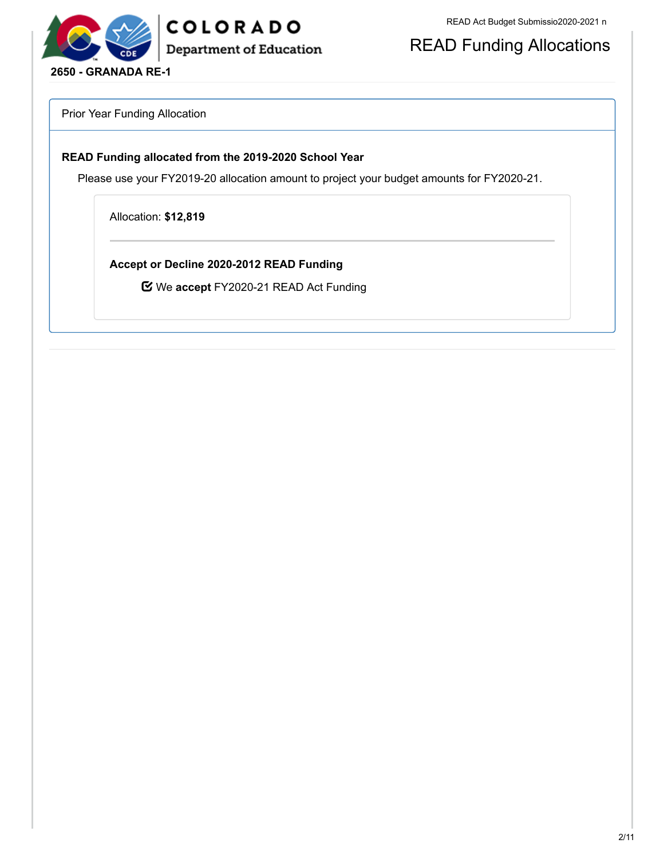

READ Funding Allocations

Prior Year Funding Allocation

### **READ Funding allocated from the 2019-2020 School Year**

Please use your FY2019-20 allocation amount to project your budget amounts for FY2020-21.

Allocation: **\$12,819**

**Accept or Decline 2020-2012 READ Funding**

We **accept** FY2020-21 READ Act Funding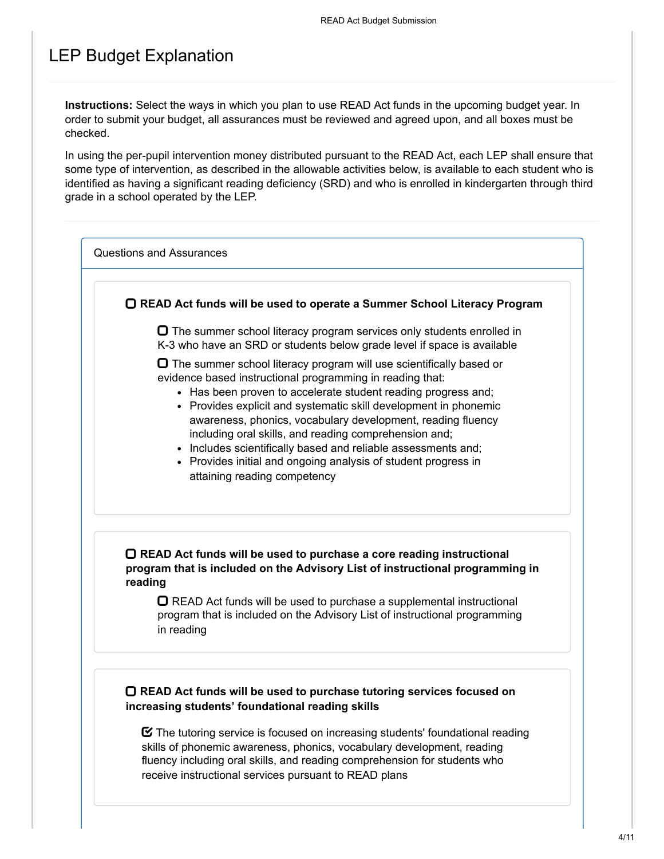## LEP Budget Explanation

**Instructions:** Select the ways in which you plan to use READ Act funds in the upcoming budget year. In order to submit your budget, all assurances must be reviewed and agreed upon, and all boxes must be checked.

In using the per-pupil intervention money distributed pursuant to the READ Act, each LEP shall ensure that some type of intervention, as described in the allowable activities below, is available to each student who is identified as having a significant reading deficiency (SRD) and who is enrolled in kindergarten through third grade in a school operated by the LEP.

Questions and Assurances

**READ Act funds will be used to operate a Summer School Literacy Program**

 $\Box$  The summer school literacy program services only students enrolled in K-3 who have an SRD or students below grade level if space is available

 $\Box$  The summer school literacy program will use scientifically based or evidence based instructional programming in reading that:

- Has been proven to accelerate student reading progress and:
- Provides explicit and systematic skill development in phonemic awareness, phonics, vocabulary development, reading fluency including oral skills, and reading comprehension and;
- Includes scientifically based and reliable assessments and;
- Provides initial and ongoing analysis of student progress in attaining reading competency

### **READ Act funds will be used to purchase a core reading instructional program that is included on the Advisory List of instructional programming in reading**

 $\Box$  READ Act funds will be used to purchase a supplemental instructional program that is included on the Advisory List of instructional programming in reading

### **READ Act funds will be used to purchase tutoring services focused on increasing students' foundational reading skills**

 $\boldsymbol{\heartsuit}$  The tutoring service is focused on increasing students' foundational reading skills of phonemic awareness, phonics, vocabulary development, reading fluency including oral skills, and reading comprehension for students who receive instructional services pursuant to READ plans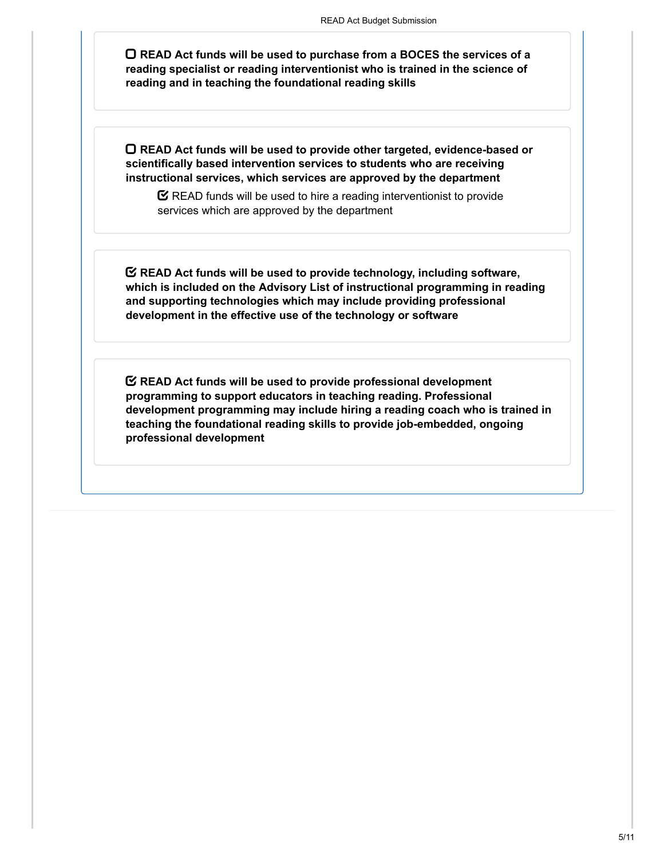**READ Act funds will be used to purchase from a BOCES the services of a reading specialist or reading interventionist who is trained in the science of reading and in teaching the foundational reading skills**

**READ Act funds will be used to provide other targeted, evidence-based or scientifically based intervention services to students who are receiving instructional services, which services are approved by the department**

 $\mathbf C$  READ funds will be used to hire a reading interventionist to provide services which are approved by the department

**READ Act funds will be used to provide technology, including software, which is included on the Advisory List of instructional programming in reading and supporting technologies which may include providing professional development in the effective use of the technology or software**

**READ Act funds will be used to provide professional development programming to support educators in teaching reading. Professional development programming may include hiring a reading coach who is trained in teaching the foundational reading skills to provide job-embedded, ongoing professional development**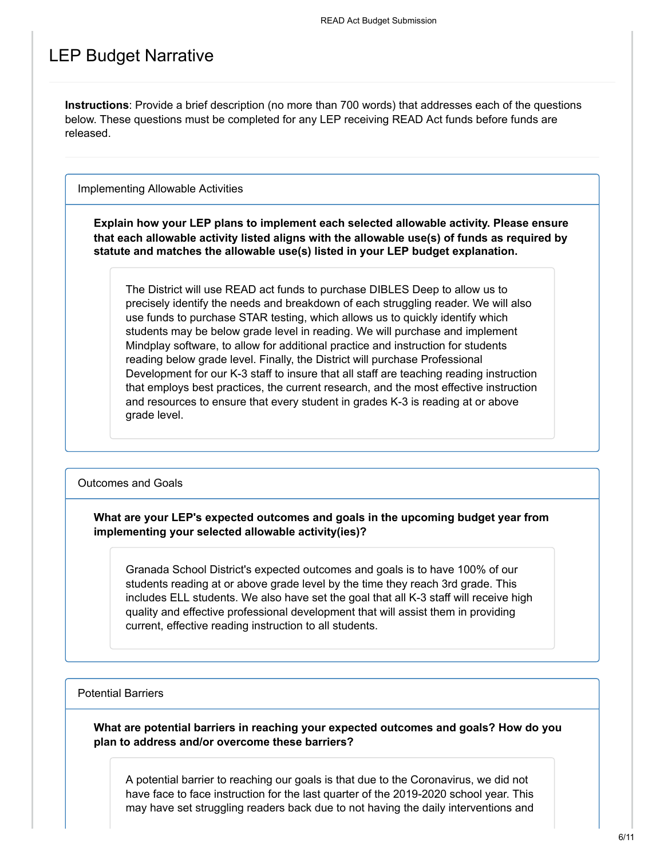### LEP Budget Narrative

**Instructions**: Provide a brief description (no more than 700 words) that addresses each of the questions below. These questions must be completed for any LEP receiving READ Act funds before funds are released.

Implementing Allowable Activities

**Explain how your LEP plans to implement each selected allowable activity. Please ensure that each allowable activity listed aligns with the allowable use(s) of funds as required by statute and matches the allowable use(s) listed in your LEP budget explanation.**

The District will use READ act funds to purchase DIBLES Deep to allow us to precisely identify the needs and breakdown of each struggling reader. We will also use funds to purchase STAR testing, which allows us to quickly identify which students may be below grade level in reading. We will purchase and implement Mindplay software, to allow for additional practice and instruction for students reading below grade level. Finally, the District will purchase Professional Development for our K-3 staff to insure that all staff are teaching reading instruction that employs best practices, the current research, and the most effective instruction and resources to ensure that every student in grades K-3 is reading at or above grade level.

Outcomes and Goals

**What are your LEP's expected outcomes and goals in the upcoming budget year from implementing your selected allowable activity(ies)?**

Granada School District's expected outcomes and goals is to have 100% of our students reading at or above grade level by the time they reach 3rd grade. This includes ELL students. We also have set the goal that all K-3 staff will receive high quality and effective professional development that will assist them in providing current, effective reading instruction to all students.

#### Potential Barriers

**What are potential barriers in reaching your expected outcomes and goals? How do you plan to address and/or overcome these barriers?**

A potential barrier to reaching our goals is that due to the Coronavirus, we did not have face to face instruction for the last quarter of the 2019-2020 school year. This may have set struggling readers back due to not having the daily interventions and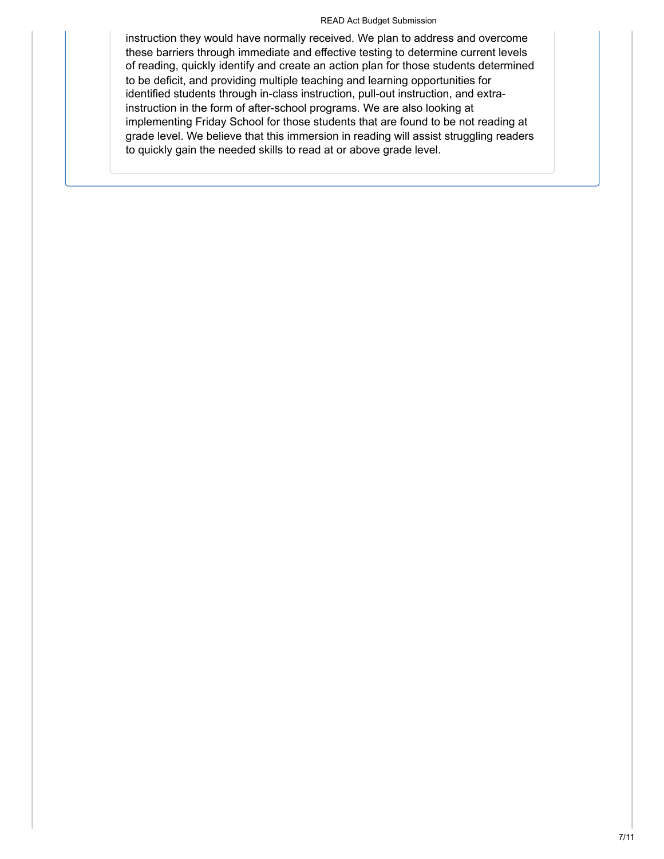#### READ Act Budget Submission

instruction they would have normally received. We plan to address and overcome these barriers through immediate and effective testing to determine current levels of reading, quickly identify and create an action plan for those students determined to be deficit, and providing multiple teaching and learning opportunities for identified students through in-class instruction, pull-out instruction, and extrainstruction in the form of after-school programs. We are also looking at implementing Friday School for those students that are found to be not reading at grade level. We believe that this immersion in reading will assist struggling readers to quickly gain the needed skills to read at or above grade level.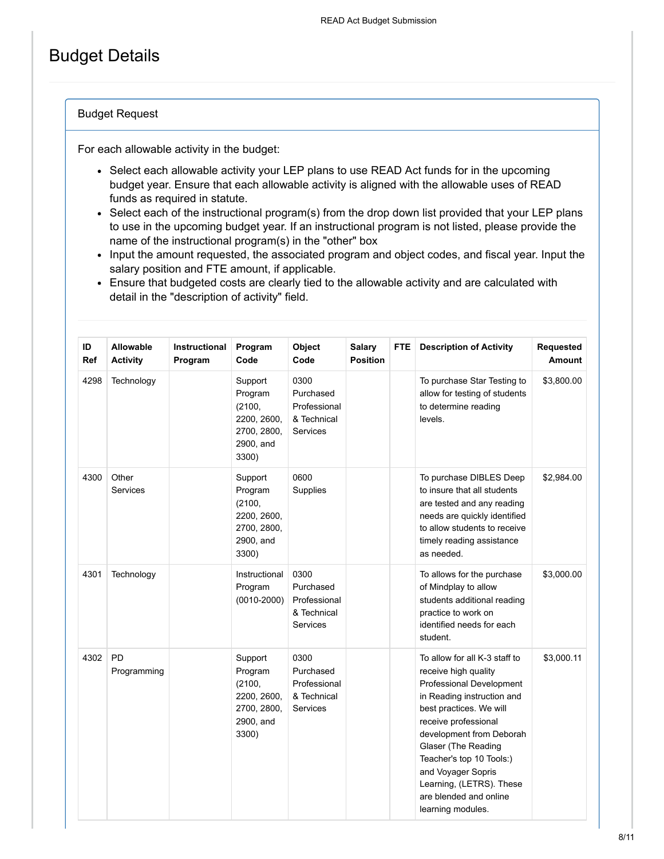## Budget Details

### Budget Request

For each allowable activity in the budget:

- Select each allowable activity your LEP plans to use READ Act funds for in the upcoming budget year. Ensure that each allowable activity is aligned with the allowable uses of READ funds as required in statute.
- Select each of the instructional program(s) from the drop down list provided that your LEP plans to use in the upcoming budget year. If an instructional program is not listed, please provide the name of the instructional program(s) in the "other" box
- Input the amount requested, the associated program and object codes, and fiscal year. Input the salary position and FTE amount, if applicable.
- Ensure that budgeted costs are clearly tied to the allowable activity and are calculated with detail in the "description of activity" field.

| ID<br><b>Ref</b> | <b>Allowable</b><br><b>Activity</b> | <b>Instructional</b><br>Program | Program<br>Code                                                                  | Object<br>Code                                                      | <b>Salary</b><br><b>Position</b> | <b>FTE</b> | <b>Description of Activity</b>                                                                                                                                                                                                                                                                                                                     | Requested<br><b>Amount</b> |
|------------------|-------------------------------------|---------------------------------|----------------------------------------------------------------------------------|---------------------------------------------------------------------|----------------------------------|------------|----------------------------------------------------------------------------------------------------------------------------------------------------------------------------------------------------------------------------------------------------------------------------------------------------------------------------------------------------|----------------------------|
| 4298             | Technology                          |                                 | Support<br>Program<br>(2100,<br>2200, 2600,<br>2700, 2800,<br>2900, and<br>3300) | 0300<br>Purchased<br>Professional<br>& Technical<br><b>Services</b> |                                  |            | To purchase Star Testing to<br>allow for testing of students<br>to determine reading<br>levels.                                                                                                                                                                                                                                                    | \$3,800.00                 |
| 4300             | Other<br><b>Services</b>            |                                 | Support<br>Program<br>(2100,<br>2200, 2600,<br>2700, 2800,<br>2900, and<br>3300) | 0600<br><b>Supplies</b>                                             |                                  |            | To purchase DIBLES Deep<br>to insure that all students<br>are tested and any reading<br>needs are quickly identified<br>to allow students to receive<br>timely reading assistance<br>as needed.                                                                                                                                                    | \$2,984.00                 |
| 4301             | Technology                          |                                 | Instructional<br>Program<br>$(0010 - 2000)$                                      | 0300<br>Purchased<br>Professional<br>& Technical<br><b>Services</b> |                                  |            | To allows for the purchase<br>of Mindplay to allow<br>students additional reading<br>practice to work on<br>identified needs for each<br>student.                                                                                                                                                                                                  | \$3,000.00                 |
| 4302             | PD<br>Programming                   |                                 | Support<br>Program<br>(2100,<br>2200, 2600,<br>2700, 2800,<br>2900, and<br>3300) | 0300<br>Purchased<br>Professional<br>& Technical<br><b>Services</b> |                                  |            | To allow for all K-3 staff to<br>receive high quality<br>Professional Development<br>in Reading instruction and<br>best practices. We will<br>receive professional<br>development from Deborah<br>Glaser (The Reading<br>Teacher's top 10 Tools:)<br>and Voyager Sopris<br>Learning, (LETRS). These<br>are blended and online<br>learning modules. | \$3,000.11                 |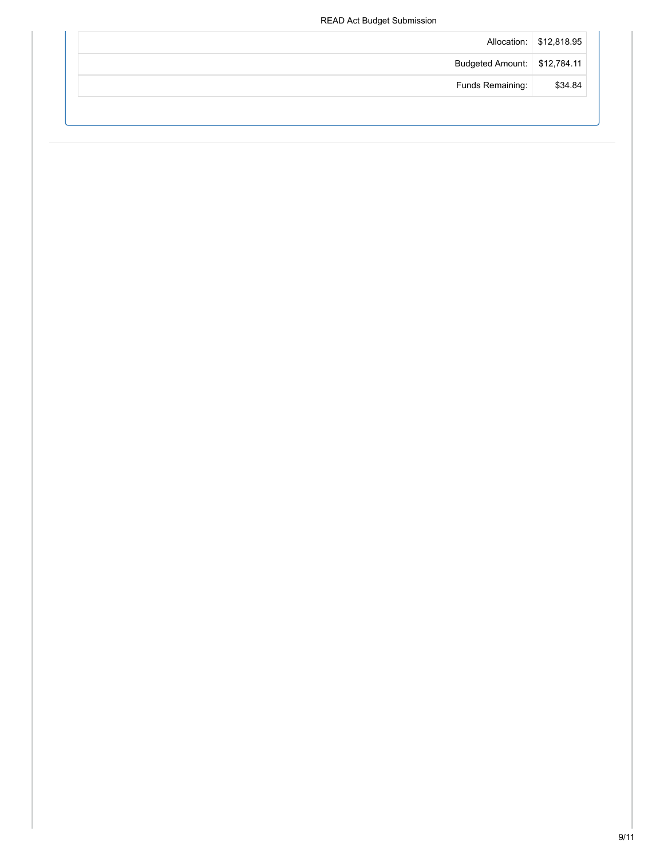### READ Act Budget Submission

|                              | Allocation: \$12,818.95 |
|------------------------------|-------------------------|
| Budgeted Amount: \$12,784.11 |                         |
| Funds Remaining:             | \$34.84                 |
|                              |                         |